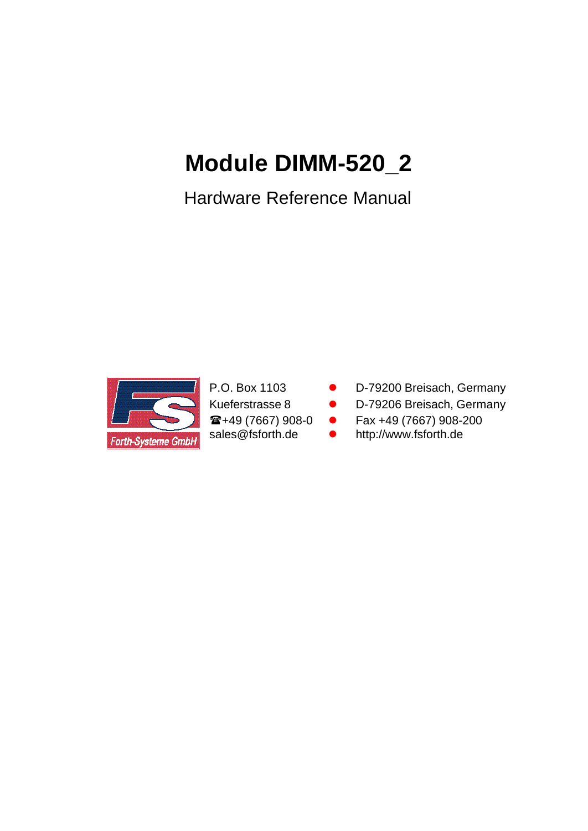# **Module DIMM-520\_2**

Hardware Reference Manual



- P.O. Box 1103 D-79200 Breisach, Germany
- Kueferstrasse 8 **· D-79206 Breisach, Germany**
- $\bullet$  +49 (7667) 908-0  $\bullet$  Fax +49 (7667) 908-200
- sales@fsforth.de http://www.fsforth.de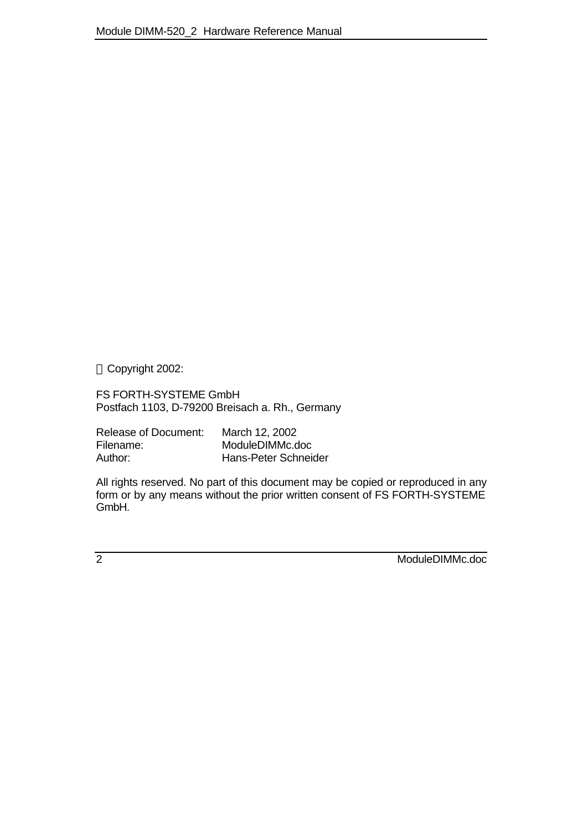Copyright 2002:

FS FORTH-SYSTEME GmbH Postfach 1103, D-79200 Breisach a. Rh., Germany

| Release of Document: | March 12, 2002       |
|----------------------|----------------------|
| Filename:            | ModuleDIMMc.doc      |
| Author:              | Hans-Peter Schneider |

All rights reserved. No part of this document may be copied or reproduced in any form or by any means without the prior written consent of FS FORTH-SYSTEME GmbH.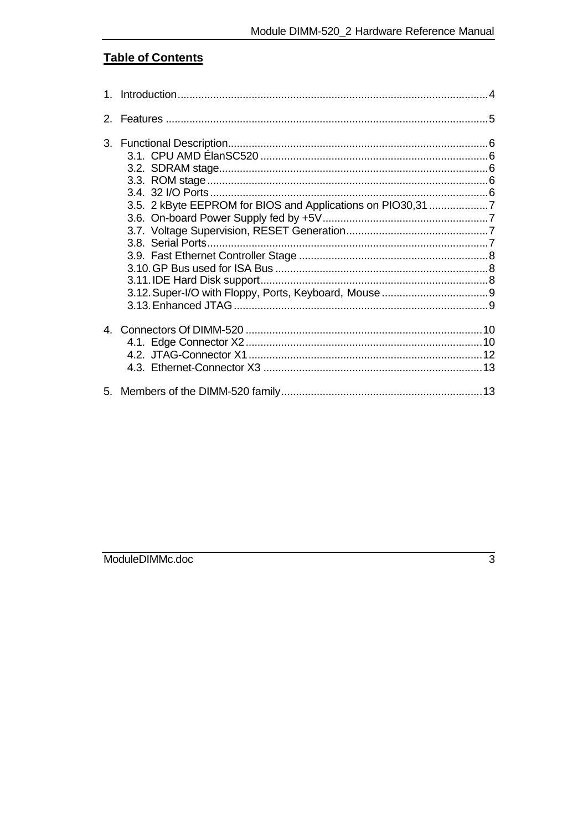## **Table of Contents**

| $2^{\circ}$ |                                                             |  |
|-------------|-------------------------------------------------------------|--|
|             | 3.5. 2 kByte EEPROM for BIOS and Applications on PIO30,31 7 |  |
|             |                                                             |  |
|             |                                                             |  |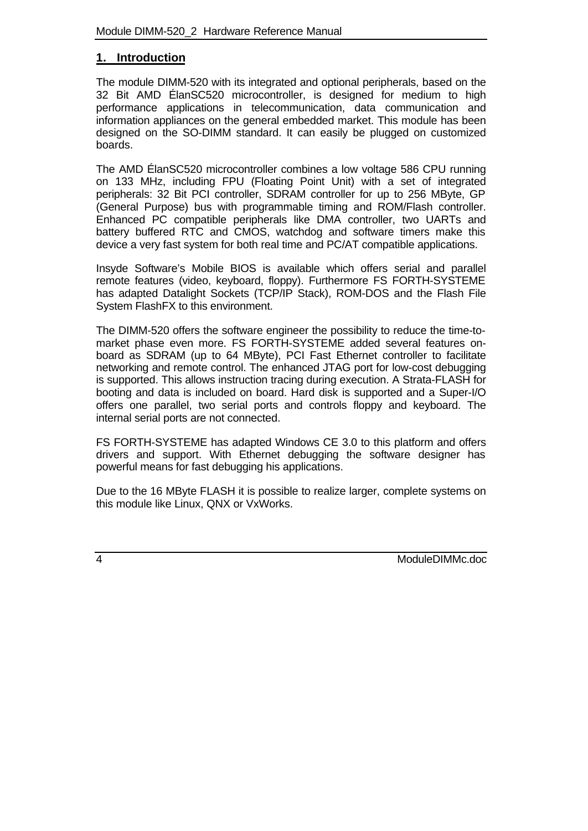#### **1. Introduction**

The module DIMM-520 with its integrated and optional peripherals, based on the 32 Bit AMD ÉlanSC520 microcontroller, is designed for medium to high performance applications in telecommunication, data communication and information appliances on the general embedded market. This module has been designed on the SO-DIMM standard. It can easily be plugged on customized boards.

The AMD ÉlanSC520 microcontroller combines a low voltage 586 CPU running on 133 MHz, including FPU (Floating Point Unit) with a set of integrated peripherals: 32 Bit PCI controller, SDRAM controller for up to 256 MByte, GP (General Purpose) bus with programmable timing and ROM/Flash controller. Enhanced PC compatible peripherals like DMA controller, two UARTs and battery buffered RTC and CMOS, watchdog and software timers make this device a very fast system for both real time and PC/AT compatible applications.

Insyde Software's Mobile BIOS is available which offers serial and parallel remote features (video, keyboard, floppy). Furthermore FS FORTH-SYSTEME has adapted Datalight Sockets (TCP/IP Stack), ROM-DOS and the Flash File System FlashFX to this environment.

The DIMM-520 offers the software engineer the possibility to reduce the time-tomarket phase even more. FS FORTH-SYSTEME added several features onboard as SDRAM (up to 64 MByte), PCI Fast Ethernet controller to facilitate networking and remote control. The enhanced JTAG port for low-cost debugging is supported. This allows instruction tracing during execution. A Strata-FLASH for booting and data is included on board. Hard disk is supported and a Super-I/O offers one parallel, two serial ports and controls floppy and keyboard. The internal serial ports are not connected.

FS FORTH-SYSTEME has adapted Windows CE 3.0 to this platform and offers drivers and support. With Ethernet debugging the software designer has powerful means for fast debugging his applications.

Due to the 16 MByte FLASH it is possible to realize larger, complete systems on this module like Linux, QNX or VxWorks.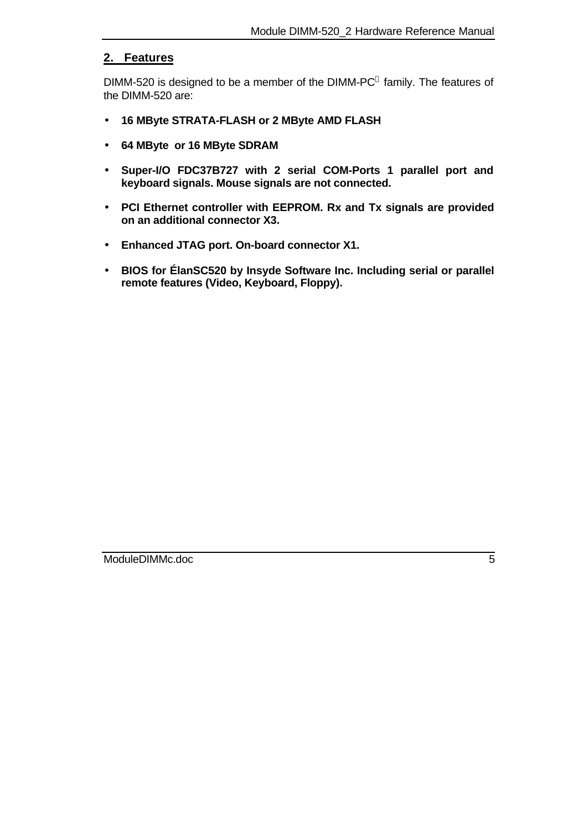#### **2. Features**

DIMM-520 is designed to be a member of the DIMM-PC $^{\circ}$  family. The features of the DIMM-520 are:

- **16 MByte STRATA-FLASH or 2 MByte AMD FLASH**
- **64 MByte or 16 MByte SDRAM**
- **Super-I/O FDC37B727 with 2 serial COM-Ports 1 parallel port and keyboard signals. Mouse signals are not connected.**
- **PCI Ethernet controller with EEPROM. Rx and Tx signals are provided on an additional connector X3.**
- **Enhanced JTAG port. On-board connector X1.**
- **BIOS for ÉlanSC520 by Insyde Software Inc. Including serial or parallel remote features (Video, Keyboard, Floppy).**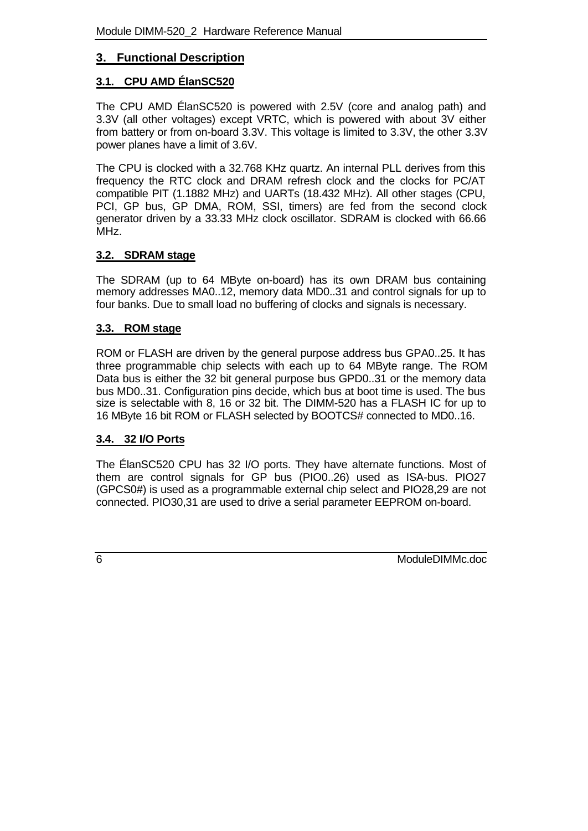#### **3. Functional Description**

#### **3.1. CPU AMD ÉlanSC520**

The CPU AMD ÉlanSC520 is powered with 2.5V (core and analog path) and 3.3V (all other voltages) except VRTC, which is powered with about 3V either from battery or from on-board 3.3V. This voltage is limited to 3.3V, the other 3.3V power planes have a limit of 3.6V.

The CPU is clocked with a 32.768 KHz quartz. An internal PLL derives from this frequency the RTC clock and DRAM refresh clock and the clocks for PC/AT compatible PIT (1.1882 MHz) and UARTs (18.432 MHz). All other stages (CPU, PCI, GP bus, GP DMA, ROM, SSI, timers) are fed from the second clock generator driven by a 33.33 MHz clock oscillator. SDRAM is clocked with 66.66 MHz.

#### **3.2. SDRAM stage**

The SDRAM (up to 64 MByte on-board) has its own DRAM bus containing memory addresses MA0..12, memory data MD0..31 and control signals for up to four banks. Due to small load no buffering of clocks and signals is necessary.

#### **3.3. ROM stage**

ROM or FLASH are driven by the general purpose address bus GPA0..25. It has three programmable chip selects with each up to 64 MByte range. The ROM Data bus is either the 32 bit general purpose bus GPD0..31 or the memory data bus MD0..31. Configuration pins decide, which bus at boot time is used. The bus size is selectable with 8, 16 or 32 bit. The DIMM-520 has a FLASH IC for up to 16 MByte 16 bit ROM or FLASH selected by BOOTCS# connected to MD0..16.

#### **3.4. 32 I/O Ports**

The ÉlanSC520 CPU has 32 I/O ports. They have alternate functions. Most of them are control signals for GP bus (PIO0..26) used as ISA-bus. PIO27 (GPCS0#) is used as a programmable external chip select and PIO28,29 are not connected. PIO30,31 are used to drive a serial parameter EEPROM on-board.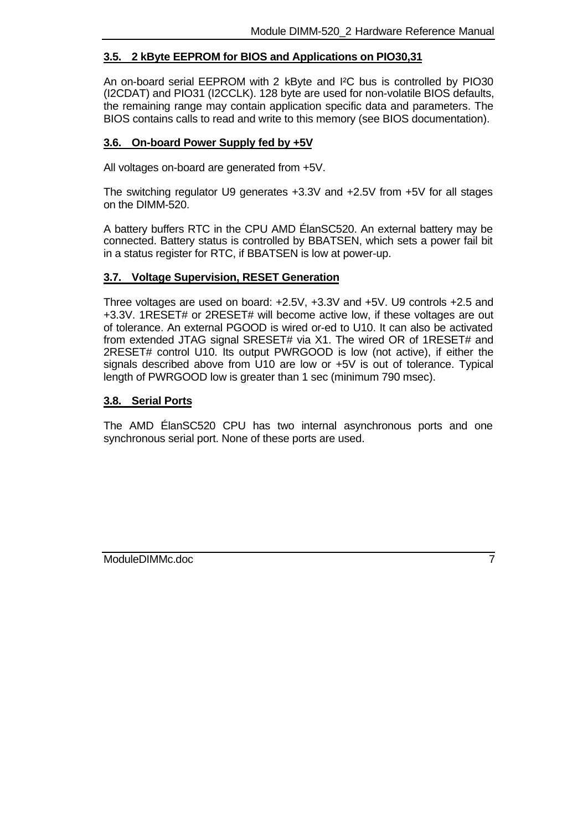#### **3.5. 2 kByte EEPROM for BIOS and Applications on PIO30,31**

An on-board serial EEPROM with 2 kByte and I²C bus is controlled by PIO30 (I2CDAT) and PIO31 (I2CCLK). 128 byte are used for non-volatile BIOS defaults, the remaining range may contain application specific data and parameters. The BIOS contains calls to read and write to this memory (see BIOS documentation).

#### **3.6. On-board Power Supply fed by +5V**

All voltages on-board are generated from +5V.

The switching regulator U9 generates +3.3V and +2.5V from +5V for all stages on the DIMM-520.

A battery buffers RTC in the CPU AMD ÉlanSC520. An external battery may be connected. Battery status is controlled by BBATSEN, which sets a power fail bit in a status register for RTC, if BBATSEN is low at power-up.

#### **3.7. Voltage Supervision, RESET Generation**

Three voltages are used on board: +2.5V, +3.3V and +5V. U9 controls +2.5 and +3.3V. 1RESET# or 2RESET# will become active low, if these voltages are out of tolerance. An external PGOOD is wired or-ed to U10. It can also be activated from extended JTAG signal SRESET# via X1. The wired OR of 1RESET# and 2RESET# control U10. Its output PWRGOOD is low (not active), if either the signals described above from U10 are low or +5V is out of tolerance. Typical length of PWRGOOD low is greater than 1 sec (minimum 790 msec).

#### **3.8. Serial Ports**

The AMD ÉlanSC520 CPU has two internal asynchronous ports and one synchronous serial port. None of these ports are used.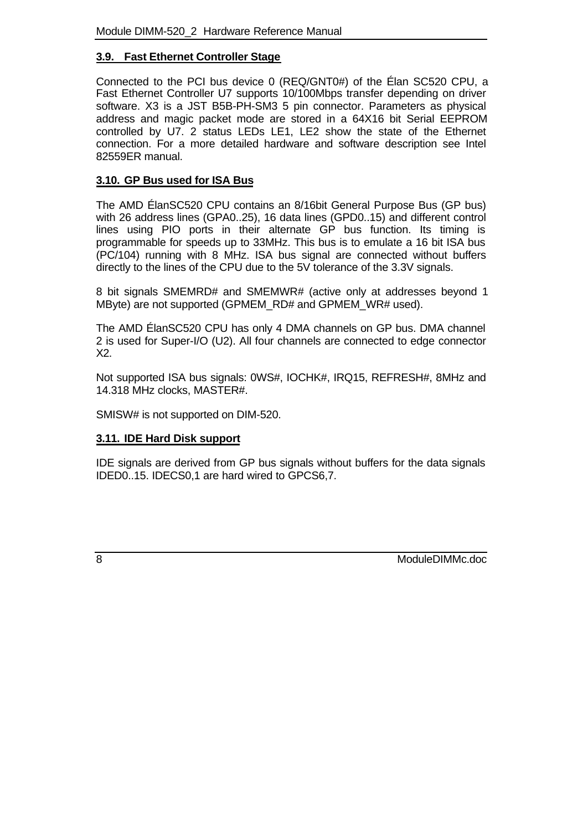#### **3.9. Fast Ethernet Controller Stage**

Connected to the PCI bus device 0 (REQ/GNT0#) of the Élan SC520 CPU, a Fast Ethernet Controller U7 supports 10/100Mbps transfer depending on driver software. X3 is a JST B5B-PH-SM3 5 pin connector. Parameters as physical address and magic packet mode are stored in a 64X16 bit Serial EEPROM controlled by U7. 2 status LEDs LE1, LE2 show the state of the Ethernet connection. For a more detailed hardware and software description see Intel 82559ER manual.

#### **3.10. GP Bus used for ISA Bus**

The AMD ÉlanSC520 CPU contains an 8/16bit General Purpose Bus (GP bus) with 26 address lines (GPA0..25), 16 data lines (GPD0..15) and different control lines using PIO ports in their alternate GP bus function. Its timing is programmable for speeds up to 33MHz. This bus is to emulate a 16 bit ISA bus (PC/104) running with 8 MHz. ISA bus signal are connected without buffers directly to the lines of the CPU due to the 5V tolerance of the 3.3V signals.

8 bit signals SMEMRD# and SMEMWR# (active only at addresses beyond 1 MByte) are not supported (GPMEM\_RD# and GPMEM\_WR# used).

The AMD ÉlanSC520 CPU has only 4 DMA channels on GP bus. DMA channel 2 is used for Super-I/O (U2). All four channels are connected to edge connector X2.

Not supported ISA bus signals: 0WS#, IOCHK#, IRQ15, REFRESH#, 8MHz and 14.318 MHz clocks, MASTER#.

SMISW# is not supported on DIM-520.

#### **3.11. IDE Hard Disk support**

IDE signals are derived from GP bus signals without buffers for the data signals IDED0..15. IDECS0,1 are hard wired to GPCS6,7.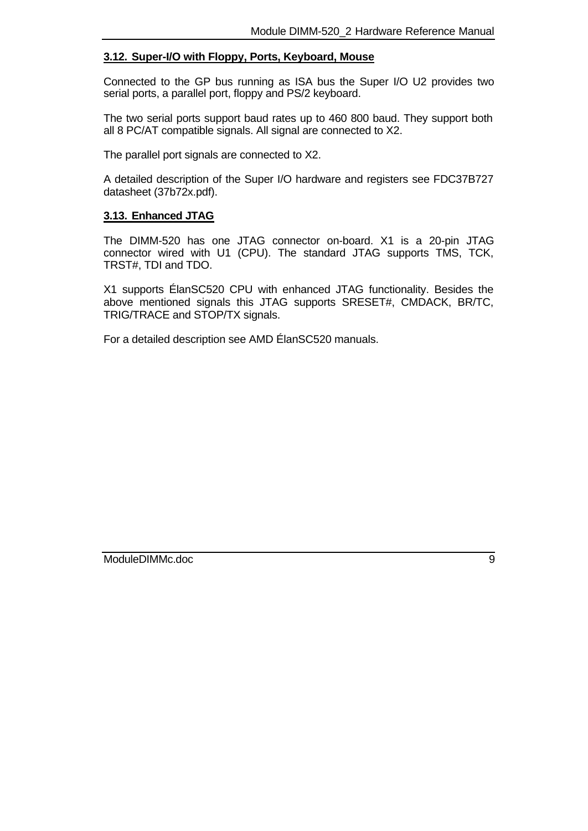#### **3.12. Super-I/O with Floppy, Ports, Keyboard, Mouse**

Connected to the GP bus running as ISA bus the Super I/O U2 provides two serial ports, a parallel port, floppy and PS/2 keyboard.

The two serial ports support baud rates up to 460 800 baud. They support both all 8 PC/AT compatible signals. All signal are connected to X2.

The parallel port signals are connected to X2.

A detailed description of the Super I/O hardware and registers see FDC37B727 datasheet (37b72x.pdf).

#### **3.13. Enhanced JTAG**

The DIMM-520 has one JTAG connector on-board. X1 is a 20-pin JTAG connector wired with U1 (CPU). The standard JTAG supports TMS, TCK, TRST#, TDI and TDO.

X1 supports ÉlanSC520 CPU with enhanced JTAG functionality. Besides the above mentioned signals this JTAG supports SRESET#, CMDACK, BR/TC, TRIG/TRACE and STOP/TX signals.

For a detailed description see AMD ÉlanSC520 manuals.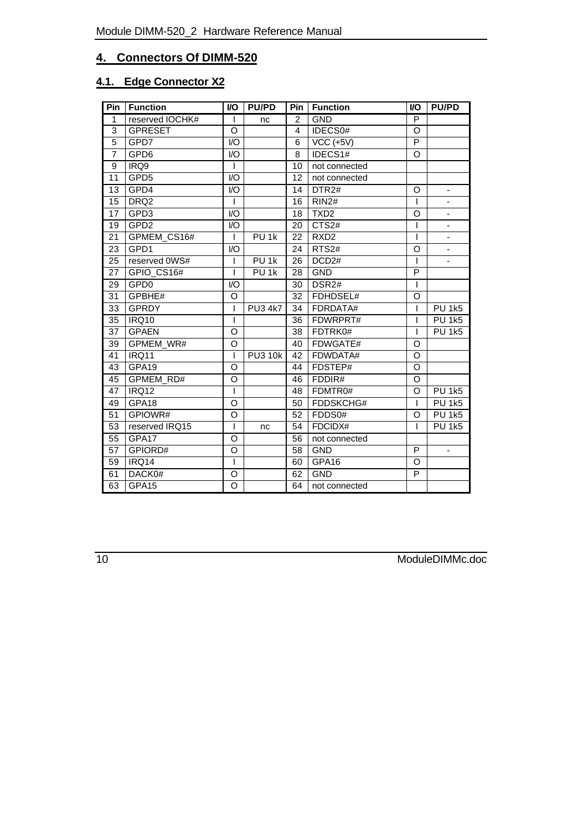## **4. Connectors Of DIMM-520**

## **4.1. Edge Connector X2**

| Pin            | <b>Function</b>  | <b>VO</b>        | <b>PU/PD</b>     | Pin            | <b>Function</b>   | <b>VO</b>      | <b>PU/PD</b>             |
|----------------|------------------|------------------|------------------|----------------|-------------------|----------------|--------------------------|
| $\mathbf{1}$   | reserved IOCHK#  | L                | nc               | 2              | <b>GND</b>        | P              |                          |
| 3              | <b>GPRESET</b>   | O                |                  | $\overline{4}$ | IDECS0#           | $\circ$        |                          |
| 5              | GPD7             | $\mathsf{IO}$    |                  | 6              | $VCC$ (+5V)       | $\overline{P}$ |                          |
| $\overline{7}$ | GPD6             | I/O              |                  | 8              | IDECS1#           | O              |                          |
| 9              | IRQ9             | L                |                  | 10             | not connected     |                |                          |
| 11             | GPD <sub>5</sub> | $\overline{1/O}$ |                  | 12             | not connected     |                |                          |
| 13             | GPD4             | I/O              |                  | 14             | DTR <sub>2#</sub> | O              | $\overline{\phantom{0}}$ |
| 15             | DRQ <sub>2</sub> | L                |                  | 16             | RIN2#             | L              | -                        |
| 17             | GPD3             | 1/O              |                  | 18             | TXD <sub>2</sub>  | O              | $\overline{\phantom{a}}$ |
| 19             | GPD <sub>2</sub> | 1/O              |                  | 20             | CTS2#             | T              |                          |
| 21             | GPMEM_CS16#      | L                | PU <sub>1k</sub> | 22             | RXD <sub>2</sub>  | I              | $\overline{\phantom{0}}$ |
| 23             | GPD1             | 1/O              |                  | 24             | RTS2#             | O              | $\overline{\phantom{0}}$ |
| 25             | reserved 0WS#    | I                | PU <sub>1k</sub> | 26             | DCD <sub>2#</sub> | I              | ä,                       |
| 27             | GPIO_CS16#       | L                | PU <sub>1k</sub> | 28             | <b>GND</b>        | P              |                          |
| 29             | GPD <sub>0</sub> | I/O              |                  | 30             | DSR <sub>2#</sub> | I              |                          |
| 31             | GPBHE#           | O                |                  | 32             | FDHDSEL#          | O              |                          |
| 33             | <b>GPRDY</b>     | L                | <b>PU3 4k7</b>   | 34             | FDRDATA#          | L              | <b>PU 1k5</b>            |
| 35             | IRQ10            | I                |                  | 36             | FDWRPRT#          | ı              | <b>PU 1k5</b>            |
| 37             | <b>GPAEN</b>     | O                |                  | 38             | FDTRK0#           | T              | <b>PU 1k5</b>            |
| 39             | GPMEM_WR#        | O                |                  | 40             | FDWGATE#          | O              |                          |
| 41             | IRQ11            | L                | <b>PU3 10k</b>   | 42             | FDWDATA#          | O              |                          |
| 43             | GPA19            | O                |                  | 44             | FDSTEP#           | O              |                          |
| 45             | GPMEM_RD#        | O                |                  | 46             | FDDIR#            | O              |                          |
| 47             | IRQ12            | I                |                  | 48             | FDMTR0#           | O              | <b>PU 1k5</b>            |
| 49             | GPA18            | O                |                  | 50             | FDDSKCHG#         | T              | <b>PU 1k5</b>            |
| 51             | GPIOWR#          | O                |                  | 52             | FDDS0#            | O              | <b>PU 1k5</b>            |
| 53             | reserved IRQ15   | L                | nc               | 54             | FDCIDX#           | T              | <b>PU 1k5</b>            |
| 55             | GPA17            | O                |                  | 56             | not connected     |                |                          |
| 57             | GPIORD#          | O                |                  | 58             | <b>GND</b>        | P              | $\overline{\phantom{a}}$ |
| 59             | IRQ14            | L                |                  | 60             | GPA16             | $\circ$        |                          |
| 61             | DACK0#           | O                |                  | 62             | <b>GND</b>        | P              |                          |
| 63             | GPA15            | O                |                  | 64             | not connected     |                |                          |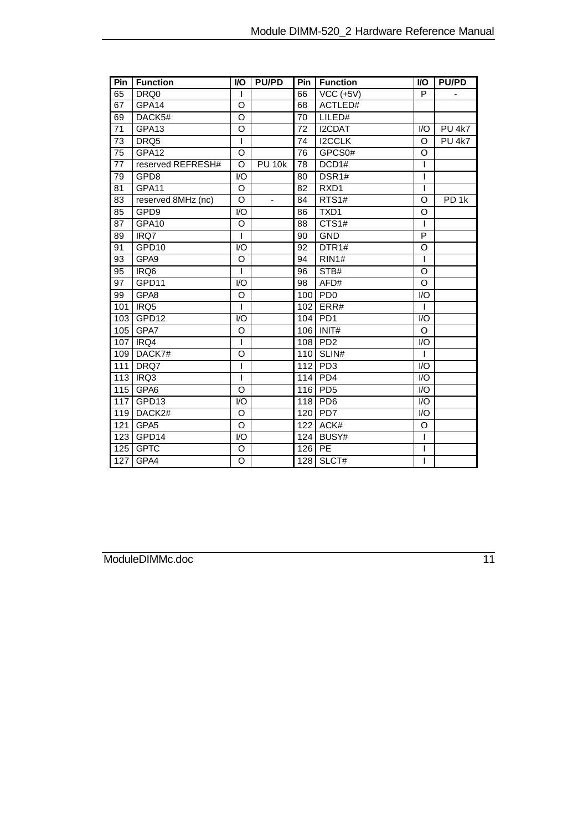| Pin | <b>Function</b>    | <b>VO</b>               | <b>PU/PD</b>   | Pin | <b>Function</b>   | <b>VO</b>        | <b>PU/PD</b>             |
|-----|--------------------|-------------------------|----------------|-----|-------------------|------------------|--------------------------|
| 65  | DRQ0               | Ш                       |                | 66  | $VCC$ (+5V)       | P                | $\overline{\phantom{0}}$ |
| 67  | GPA14              | O                       |                | 68  | ACTLED#           |                  |                          |
| 69  | DACK5#             | O                       |                | 70  | LILED#            |                  |                          |
| 71  | GPA <sub>13</sub>  | O                       |                | 72  | I2CDAT            | $U$              | <b>PU 4k7</b>            |
| 73  | DRQ5               | I                       |                | 74  | <b>I2CCLK</b>     | O                | <b>PU 4k7</b>            |
| 75  | GPA12              | $\circ$                 |                | 76  | GPCS0#            | O                |                          |
| 77  | reserved REFRESH#  | $\Omega$                | <b>PU 10k</b>  | 78  | DCD1#             |                  |                          |
| 79  | GPD8               | I/O                     |                | 80  | DSR1#             |                  |                          |
| 81  | GPA11              | O                       |                | 82  | RXD1              | I                |                          |
| 83  | reserved 8MHz (nc) | $\Omega$                | $\blacksquare$ | 84  | RTS1#             | $\circ$          | PD <sub>1k</sub>         |
| 85  | GPD9               | I/O                     |                | 86  | TXD1              | O                |                          |
| 87  | GPA10              | $\circ$                 |                | 88  | CTS1#             |                  |                          |
| 89  | IRQ7               | I                       |                | 90  | <b>GND</b>        | P                |                          |
| 91  | GPD10              | I/O                     |                | 92  | DTR <sub>1#</sub> | O                |                          |
| 93  | GPA9               | O                       |                | 94  | <b>RIN1#</b>      | T                |                          |
| 95  | IRQ <sub>6</sub>   | ı                       |                | 96  | STB#              | O                |                          |
| 97  | GPD11              | I/O                     |                | 98  | $\overline{AF}D#$ | O                |                          |
| 99  | GPA8               | O                       |                | 100 | PD0               | $\overline{1/O}$ |                          |
| 101 | IRQ5               | T                       |                | 102 | ERR#              | I                |                          |
| 103 | GPD12              | I/O                     |                | 104 | PD <sub>1</sub>   | 1/O              |                          |
| 105 | GPA7               | O                       |                |     | 106 INIT#         | O                |                          |
| 107 | IRQ4               | T                       |                | 108 | PD <sub>2</sub>   | I/O              |                          |
| 109 | DACK7#             | O                       |                |     | 110 SLIN#         |                  |                          |
| 111 | DRQ7               |                         |                | 112 | P <sub>D</sub> 3  | I/O              |                          |
| 113 | IRQ3               | ı                       |                | 114 | PD <sub>4</sub>   | I/O              |                          |
| 115 | GPA6               | $\Omega$                |                | 116 | PD <sub>5</sub>   | I/O              |                          |
| 117 | GPD <sub>13</sub>  | $\mathsf{I}/\mathsf{O}$ |                | 118 | PD <sub>6</sub>   | $l/O$            |                          |
| 119 | DACK2#             | O                       |                | 120 | PD <sub>7</sub>   | $\mathsf{IO}$    |                          |
| 121 | GPA5               | O                       |                | 122 | ACK#              | $\circ$          |                          |
| 123 | GPD14              | 1/O                     |                | 124 | BUSY#             |                  |                          |
| 125 | <b>GPTC</b>        | O                       |                | 126 | $\overline{PE}$   | ı                |                          |
| 127 | GPA4               | O                       |                |     | $128$ SLCT#       | I                |                          |

ModuleDIMMc.doc 11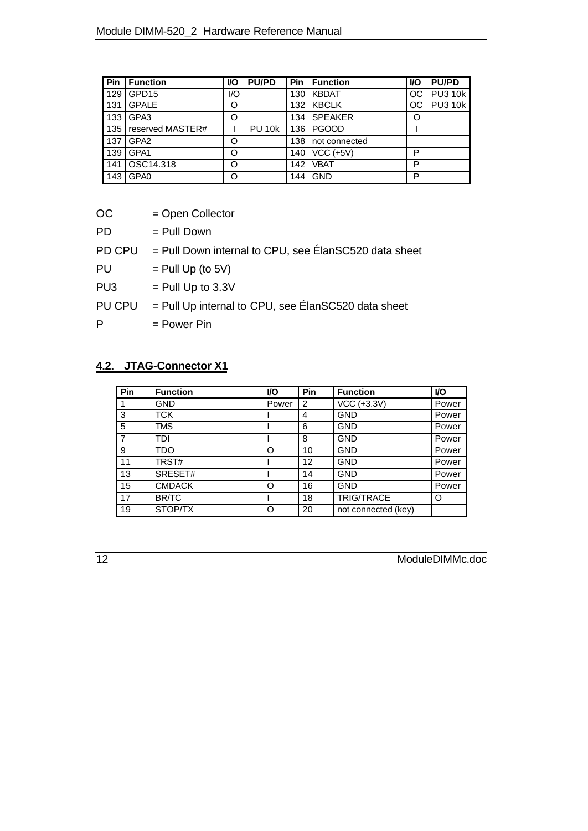| Pin | <b>Function</b>  | VO  | <b>PU/PD</b>  | Pin              | <b>Function</b> | <b>VO</b> | <b>PU/PD</b>   |
|-----|------------------|-----|---------------|------------------|-----------------|-----------|----------------|
| 129 | GPD15            | I/O |               | 130 l            | <b>KBDAT</b>    | OC.       | <b>PU3 10k</b> |
| 131 | <b>GPALE</b>     | Ο   |               | 132 <sub>1</sub> | <b>KBCLK</b>    | OC.       | <b>PU3 10k</b> |
| 133 | GPA3             | O   |               | 134 l            | <b>SPEAKER</b>  | O         |                |
| 135 | reserved MASTER# |     | <b>PU 10k</b> | 136 I            | <b>PGOOD</b>    |           |                |
| 137 | GPA <sub>2</sub> | O   |               | 138 I            | not connected   |           |                |
| 139 | GPA1             | O   |               | 140 l            | $VCC$ (+5V)     | P         |                |
| 141 | OSC14.318        | O   |               | 1421             | <b>VBAT</b>     | P         |                |
| 143 | GPA <sub>0</sub> | O   |               | 144              | <b>GND</b>      | P         |                |

| ОC | = Open Collector |
|----|------------------|
| PD | $-$ Pull Down    |

| гυ | $=$ Full DOWL                                                  |
|----|----------------------------------------------------------------|
|    | $PD$ CPU = Pull Down internal to CPU, see ÉlanSC520 data sheet |

 $PU =$  Pull Up (to 5V)

PU3  $=$  Pull Up to 3.3V

PU CPU = Pull Up internal to CPU, see ÉlanSC520 data sheet

 $P = Power Pin$ 

## **4.2. JTAG-Connector X1**

| Pin            | <b>Function</b> | <b>VO</b> | Pin | <b>Function</b>     | <b>VO</b> |
|----------------|-----------------|-----------|-----|---------------------|-----------|
|                | <b>GND</b>      | Power     | 2   | VCC (+3.3V)         | Power     |
| 3              | <b>TCK</b>      |           | 4   | <b>GND</b>          | Power     |
| 5              | <b>TMS</b>      |           | 6   | <b>GND</b>          | Power     |
| $\overline{7}$ | <b>TDI</b>      |           | 8   | <b>GND</b>          | Power     |
| 9              | <b>TDO</b>      | Ω         | 10  | <b>GND</b>          | Power     |
| 11             | TRST#           |           | 12  | <b>GND</b>          | Power     |
| 13             | SRESET#         |           | 14  | <b>GND</b>          | Power     |
| 15             | <b>CMDACK</b>   | Ω         | 16  | <b>GND</b>          | Power     |
| 17             | <b>BR/TC</b>    |           | 18  | <b>TRIG/TRACE</b>   | $\circ$   |
| 19             | STOP/TX         | Ω         | 20  | not connected (key) |           |